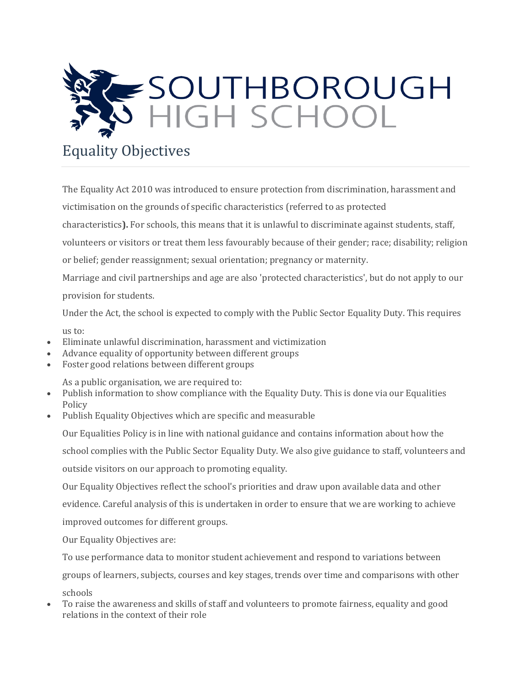

## Equality Objectives

The Equality Act 2010 was introduced to ensure protection from discrimination, harassment and victimisation on the grounds of specific characteristics (referred to as protected characteristics**).** For schools, this means that it is unlawful to discriminate against students, staff, volunteers or visitors or treat them less favourably because of their gender; race; disability; religion or belief; gender reassignment; sexual orientation; pregnancy or maternity. Marriage and civil partnerships and age are also 'protected characteristics', but do not apply to our provision for students.

Under the Act, the school is expected to comply with the Public Sector Equality Duty. This requires

us to:

- Eliminate unlawful discrimination, harassment and victimization
- Advance equality of opportunity between different groups
- Foster good relations between different groups

As a public organisation, we are required to:

- Publish information to show compliance with the Equality Duty. This is done via our Equalities Policy
- Publish Equality Objectives which are specific and measurable

Our Equalities Policy is in line with national guidance and contains information about how the school complies with the Public Sector Equality Duty. We also give guidance to staff, volunteers and outside visitors on our approach to promoting equality. Our Equality Objectives reflect the school's priorities and draw upon available data and other

evidence. Careful analysis of this is undertaken in order to ensure that we are working to achieve

improved outcomes for different groups.

Our Equality Objectives are:

To use performance data to monitor student achievement and respond to variations between

groups of learners, subjects, courses and key stages, trends over time and comparisons with other schools

• To raise the awareness and skills of staff and volunteers to promote fairness, equality and good relations in the context of their role